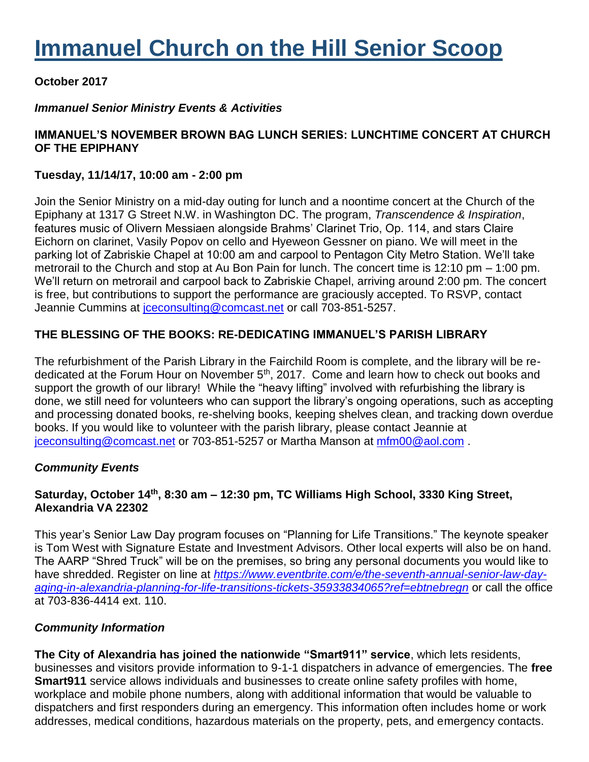# **Immanuel Church on the Hill Senior Scoop**

# **October 2017**

# *Immanuel Senior Ministry Events & Activities*

# **IMMANUEL'S NOVEMBER BROWN BAG LUNCH SERIES: LUNCHTIME CONCERT AT CHURCH OF THE EPIPHANY**

#### **Tuesday, 11/14/17, 10:00 am - 2:00 pm**

Join the Senior Ministry on a mid-day outing for lunch and a noontime concert at the Church of the Epiphany at 1317 G Street N.W. in Washington DC. The program, *Transcendence & Inspiration*, features music of Olivern Messiaen alongside Brahms' Clarinet Trio, Op. 114, and stars Claire Eichorn on clarinet, Vasily Popov on cello and Hyeweon Gessner on piano. We will meet in the parking lot of Zabriskie Chapel at 10:00 am and carpool to Pentagon City Metro Station. We'll take metrorail to the Church and stop at Au Bon Pain for lunch. The concert time is 12:10 pm – 1:00 pm. We'll return on metrorail and carpool back to Zabriskie Chapel, arriving around 2:00 pm. The concert is free, but contributions to support the performance are graciously accepted. To RSVP, contact Jeannie Cummins at *[jceconsulting@comcast.net](mailto:jceconsulting@comcast.net)* or call 703-851-5257.

## **THE BLESSING OF THE BOOKS: RE-DEDICATING IMMANUEL'S PARISH LIBRARY**

The refurbishment of the Parish Library in the Fairchild Room is complete, and the library will be rededicated at the Forum Hour on November 5<sup>th</sup>, 2017. Come and learn how to check out books and support the growth of our library! While the "heavy lifting" involved with refurbishing the library is done, we still need for volunteers who can support the library's ongoing operations, such as accepting and processing donated books, re-shelving books, keeping shelves clean, and tracking down overdue books. If you would like to volunteer with the parish library, please contact Jeannie at [jceconsulting@comcast.net](mailto:jceconsulting@comcast.net) or 703-851-5257 or Martha Manson at [mfm00@aol.com](mailto:mfm00@aol.com) .

## *Community Events*

## **Saturday, October 14th, 8:30 am – 12:30 pm, TC Williams High School, 3330 King Street, Alexandria VA 22302**

This year's Senior Law Day program focuses on "Planning for Life Transitions." The keynote speaker is Tom West with Signature Estate and Investment Advisors. Other local experts will also be on hand. The AARP "Shred Truck" will be on the premises, so bring any personal documents you would like to have shredded. Register on line at *[https://www.eventbrite.com/e/the-seventh-annual-senior-law-day](https://www.eventbrite.com/e/the-seventh-annual-senior-law-day-aging-in-alexandria-planning-for-life-transitions-tickets-35933834065?ref=ebtnebregn)[aging-in-alexandria-planning-for-life-transitions-tickets-35933834065?ref=ebtnebregn](https://www.eventbrite.com/e/the-seventh-annual-senior-law-day-aging-in-alexandria-planning-for-life-transitions-tickets-35933834065?ref=ebtnebregn)* or call the office at 703-836-4414 ext. 110.

## *Community Information*

**The City of Alexandria has joined the nationwide "Smart911" service**, which lets residents, businesses and visitors provide information to 9-1-1 dispatchers in advance of emergencies. The **free Smart911** service allows individuals and businesses to create online safety profiles with home, workplace and mobile phone numbers, along with additional information that would be valuable to dispatchers and first responders during an emergency. This information often includes home or work addresses, medical conditions, hazardous materials on the property, pets, and emergency contacts.